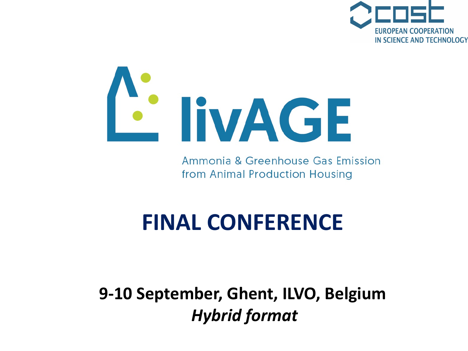



Ammonia & Greenhouse Gas Emission from Animal Production Housing

# **FINAL CONFERENCE**

**9-10 September, Ghent, ILVO, Belgium** *Hybrid format*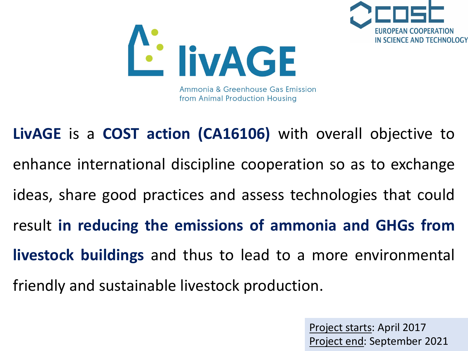



Project starts: April 2017 Project end: September 2021

FUROPFAN COOPFRATION

IN SCIENCE AND TECHNOLOGY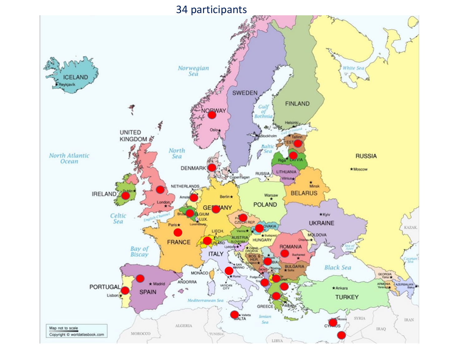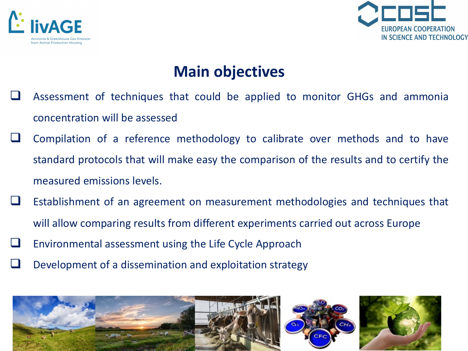



### **Main objectives**

- Assessment of techniques that could be applied to monitor GHGs and ammonia concentration will be assessed
- $\Box$  Compilation of a reference methodology to calibrate over methods and to have standard protocols that will make easy the comparison of the results and to certify the measured emissions levels.
- Establishment of an agreement on measurement methodologies and techniques that will allow comparing results from different experiments carried out across Europe
- $\Box$  Environmental assessment using the Life Cycle Approach
- Development of a dissemination and exploitation strategy

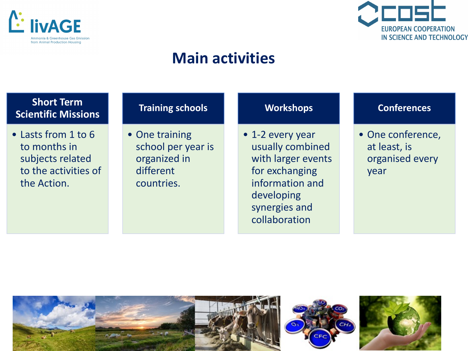



### **Main activities**

| <b>Short Term</b><br><b>Scientific Missions</b>                                                | <b>Training schools</b>                                                         | <b>Workshops</b>                                                                                                                                | <b>Conferences</b>                                           |
|------------------------------------------------------------------------------------------------|---------------------------------------------------------------------------------|-------------------------------------------------------------------------------------------------------------------------------------------------|--------------------------------------------------------------|
| • Lasts from 1 to 6<br>to months in<br>subjects related<br>to the activities of<br>the Action. | • One training<br>school per year is<br>organized in<br>different<br>countries. | • 1-2 every year<br>usually combined<br>with larger events<br>for exchanging<br>information and<br>developing<br>synergies and<br>collaboration | • One conference,<br>at least, is<br>organised every<br>year |

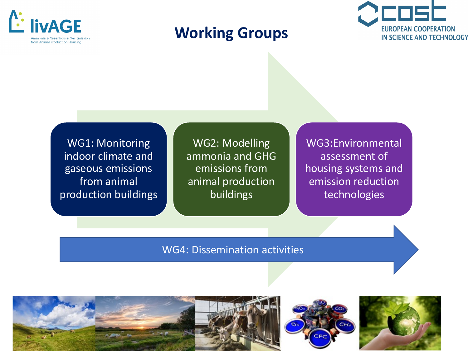

### **Working Groups**



WG1: Monitoring indoor climate and gaseous emissions from animal production buildings

WG2: Modelling ammonia and GHG emissions from animal production buildings

WG3:Environmental assessment of housing systems and emission reduction technologies

WG4: Dissemination activities



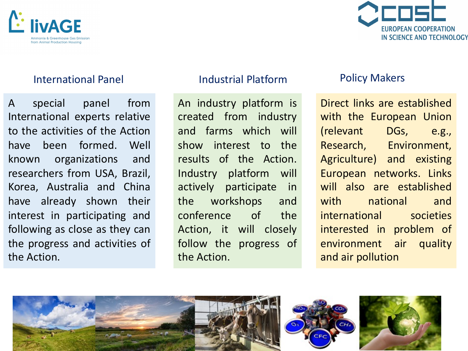



#### International Panel

A special panel from International experts relative to the activities of the Action have been formed. Well known organizations and researchers from USA, Brazil, Korea, Australia and China have already shown their interest in participating and following as close as they can the progress and activities of the Action.

#### Industrial Platform

An industry platform is created from industry and farms which will show interest to the results of the Action. Industry platform will actively participate in the workshops and conference of the Action, it will closely follow the progress of the Action.

#### Policy Makers

Direct links are established with the European Union (relevant DGs, e.g., Research, Environment, Agriculture) and existing European networks. Links will also are established with national and international societies interested in problem of environment air quality and air pollution

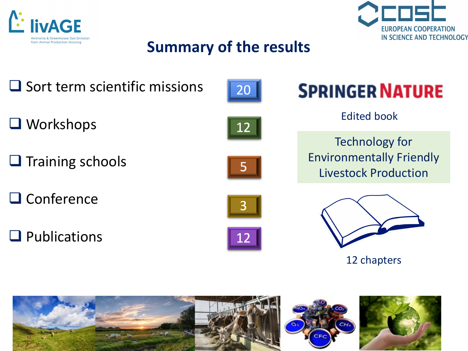



## **Summary of the results**

- $\Box$  Sort term scientific missions
- $\Box$  Workshops
- $\Box$  Training schools
- $\Box$  Conference
- $\Box$  Publications





Edited book

Technology for Environmentally Friendly Livestock Production





12 chapters